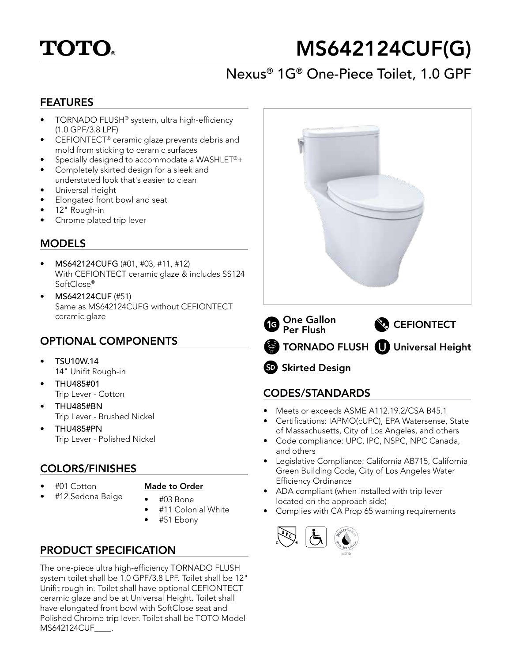

# MS642124CUF(G)

# Nexus® 1G® One-Piece Toilet, 1.0 GPF

#### FEATURES

- TORNADO FLUSH® system, ultra high-efficiency (1.0 GPF/3.8 LPF)
- CEFIONTECT® ceramic glaze prevents debris and mold from sticking to ceramic surfaces
- Specially designed to accommodate a WASHLET®+
- Completely skirted design for a sleek and understated look that's easier to clean
- Universal Height
- Elongated front bowl and seat
- 12" Rough-in
- Chrome plated trip lever

### **MODELS**

- MS642124CUFG (#01, #03, #11, #12) With CEFIONTECT ceramic glaze & includes SS124 SoftClose®
- MS642124CUF (#51) Same as MS642124CUFG without CEFIONTECT ceramic glaze

# OPTIONAL COMPONENTS

- TSU10W.14 14" Unifit Rough-in
- THU485#01 Trip Lever - Cotton
- THU485#BN Trip Lever - Brushed Nickel
- THU485#PN Trip Lever - Polished Nickel

## COLORS/FINISHES

• #01 Cotton

#### Made to Order

- #12 Sedona Beige
- #03 Bone
- #11 Colonial White
- #51 Ebony

# PRODUCT SPECIFICATION

The one-piece ultra high-efficiency TORNADO FLUSH system toilet shall be 1.0 GPF/3.8 LPF. Toilet shall be 12" Unifit rough-in. Toilet shall have optional CEFIONTECT ceramic glaze and be at Universal Height. Toilet shall have elongated front bowl with SoftClose seat and Polished Chrome trip lever. Toilet shall be TOTO Model MS642124CUF\_\_\_\_.



# SD Skirted Design

## CODES/STANDARDS

- Meets or exceeds ASME A112.19.2/CSA B45.1
- Certifications: IAPMO(cUPC), EPA Watersense, State of Massachusetts, City of Los Angeles, and others
- Code compliance: UPC, IPC, NSPC, NPC Canada, and others
- Legislative Compliance: California AB715, California Green Building Code, City of Los Angeles Water Efficiency Ordinance
- ADA compliant (when installed with trip lever located on the approach side)
- Complies with CA Prop 65 warning requirements